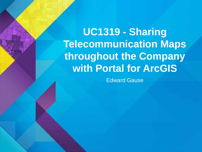**UC1319 - Sharing Telecommunication Maps throughout the Company with Portal for ArcGIS**

Edward Gause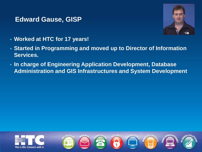## **Edward Gause, GISP**



- **Worked at HTC for 17 years!**
- **Started in Programming and moved up to Director of Information Services.**
- **In charge of Engineering Application Development, Database Administration and GIS Infrastructures and System Development**

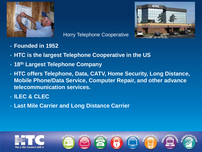

#### Horry Telephone Cooperative



- **Founded in 1952**
- **HTC is the largest Telephone Cooperative in the US**
- **18th Largest Telephone Company**
- **HTC offers Telephone, Data, CATV, Home Security, Long Distance, Mobile Phone/Data Service, Computer Repair, and other advance telecommunication services.**
- **ILEC & CLEC**
- **Last Mile Carrier and Long Distance Carrier**

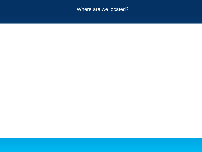Where are we located?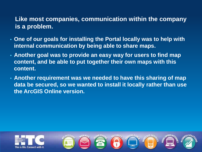#### **Like most companies, communication within the company is a problem.**

- **One of our goals for installing the Portal locally was to help with internal communication by being able to share maps.**
- **Another goal was to provide an easy way for users to find map content, and be able to put together their own maps with this content.**
- **Another requirement was we needed to have this sharing of map data be secured, so we wanted to install it locally rather than use the ArcGIS Online version.**

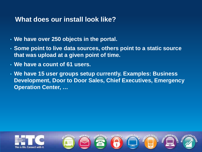## **What does our install look like?**

- **We have over 250 objects in the portal.**
- **Some point to live data sources, others point to a static source that was upload at a given point of time.**
- **We have a count of 61 users.**
- **We have 15 user groups setup currently. Examples: Business Development, Door to Door Sales, Chief Executives, Emergency Operation Center, …**

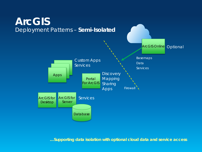

*…Supporting data isolation with optional cloud data and service access*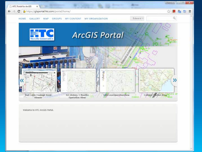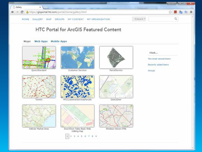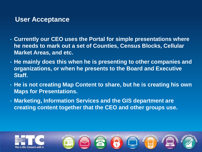- **Currently our CEO uses the Portal for simple presentations where he needs to mark out a set of Counties, Census Blocks, Cellular Market Areas, and etc.**
- **He mainly does this when he is presenting to other companies and organizations, or when he presents to the Board and Executive Staff.**
- **He is not creating Map Content to share, but he is creating his own Maps for Presentations.**
- **Marketing, Information Services and the GIS department are creating content together that the CEO and other groups use.**

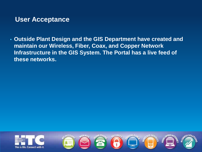• **Outside Plant Design and the GIS Department have created and maintain our Wireless, Fiber, Coax, and Copper Network Infrastructure in the GIS System. The Portal has a live feed of these networks.**

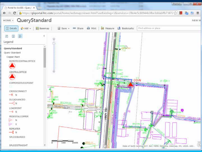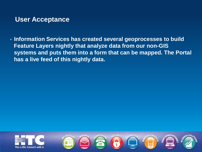• **Information Services has created several geoprocesses to build Feature Layers nightly that analyze data from our non-GIS systems and puts them into a form that can be mapped. The Portal has a live feed of this nightly data.**

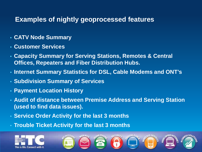## **Examples of nightly geoprocessed features**

- **CATV Node Summary**
- **Customer Services**
- **Capacity Summary for Serving Stations, Remotes & Central Offices, Repeaters and Fiber Distribution Hubs.**
- **Internet Summary Statistics for DSL, Cable Modems and ONT's**
- **Subdivision Summary of Services**
- **Payment Location History**
- **Audit of distance between Premise Address and Serving Station (used to find data issues).**
- **Service Order Activity for the last 3 months**
- **Trouble Ticket Activity for the last 3 months**

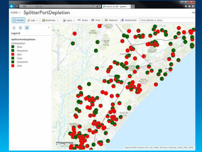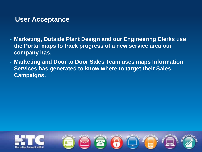- **Marketing, Outside Plant Design and our Engineering Clerks use the Portal maps to track progress of a new service area our company has.**
- **Marketing and Door to Door Sales Team uses maps Information Services has generated to know where to target their Sales Campaigns.**

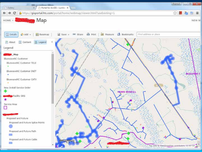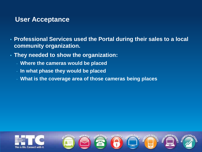- **Professional Services used the Portal during their sales to a local community organization.**
- **They needed to show the organization:** 
	- **Where the cameras would be placed**
	- **In what phase they would be placed**
	- **What is the coverage area of those cameras being places**

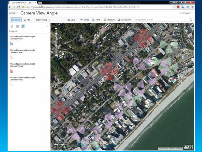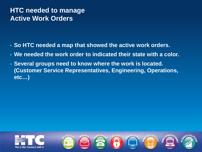## **HTC needed to manage Active Work Orders**

- **So HTC needed a map that showed the active work orders.**
- **We needed the work order to indicated their state with a color.**
- **Several groups need to know where the work is located. (Customer Service Representatives, Engineering, Operations, etc…)**

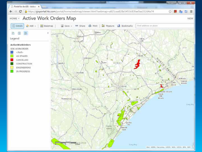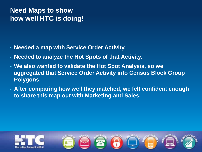## **Need Maps to show how well HTC is doing!**

- **Needed a map with Service Order Activity.**
- **Needed to analyze the Hot Spots of that Activity.**
- **We also wanted to validate the Hot Spot Analysis, so we aggregated that Service Order Activity into Census Block Group Polygons.**
- **After comparing how well they matched, we felt confident enough to share this map out with Marketing and Sales.**

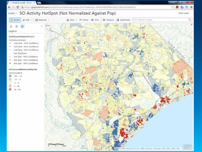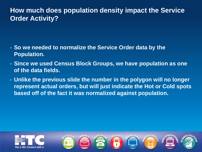## **How much does population density impact the Service Order Activity?**

- **So we needed to normalize the Service Order data by the Population.**
- **Since we used Census Block Groups, we have population as one of the data fields.**
- **Unlike the previous slide the number in the polygon will no longer represent actual orders, but will just indicate the Hot or Cold spots based off of the fact it was normalized against population.**

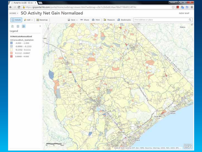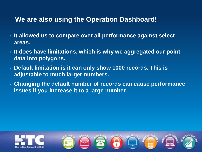## **We are also using the Operation Dashboard!**

- **It allowed us to compare over all performance against select areas.**
- **It does have limitations, which is why we aggregated our point data into polygons.**
- **Default limitation is it can only show 1000 records. This is adjustable to much larger numbers.**
- **Changing the default number of records can cause performance issues if you increase it to a large number.**

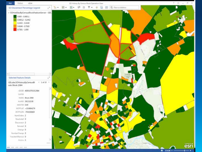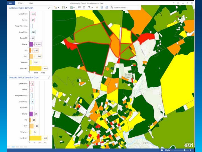

esi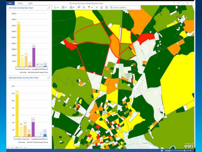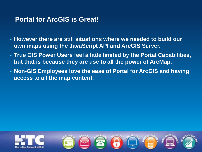## **Portal for ArcGIS is Great!**

- **However there are still situations where we needed to build our own maps using the JavaScript API and ArcGIS Server.**
- **True GIS Power Users feel a little limited by the Portal Capabilities, but that is because they are use to all the power of ArcMap.**
- **Non-GIS Employees love the ease of Portal for ArcGIS and having access to all the map content.**

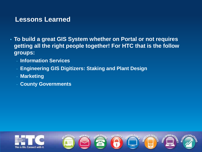## **Lessons Learned**

- **To build a great GIS System whether on Portal or not requires getting all the right people together! For HTC that is the follow groups:**
	- **Information Services**
	- **Engineering GIS Digitizers: Staking and Plant Design**
	- **Marketing**
	- **County Governments**

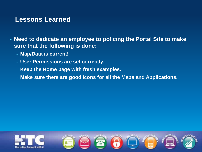#### **Lessons Learned**

- **Need to dedicate an employee to policing the Portal Site to make sure that the following is done:**
	- **Map/Data is current!**
	- **User Permissions are set correctly.**
	- **Keep the Home page with fresh examples.**
	- Make sure there are good Icons for all the Maps and Applications.

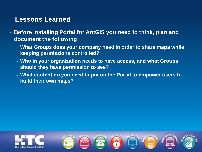#### **Lessons Learned**

- **Before installing Portal for ArcGIS you need to think, plan and document the following:**
	- **What Groups does your company need in order to share maps while keeping permissions controlled?**
	- **Who in your organization needs to have access, and what Groups should they have permission to see?**
	- **What content do you need to put on the Portal to empower users to build their own maps?**

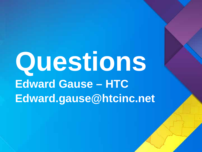# **Questions Edward Gause – HTC Edward.gause@htcinc.net**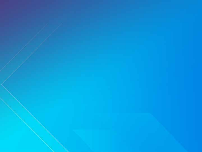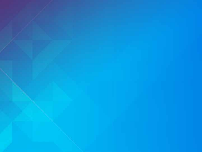